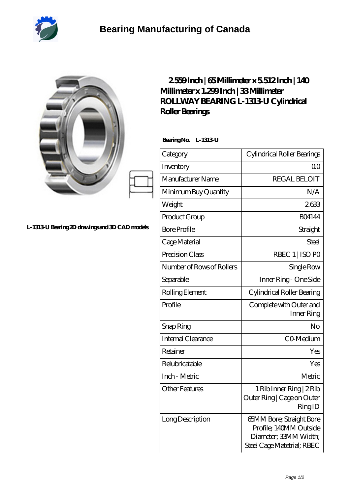

|                                                | 2559Inch   65Millimeter x 5512Inch   140<br>Millimeter x 1.299 Inch   33 Millimeter<br>ROLLWAY BEARING L-1313 U Cylindrical<br>Roller Bearings<br>Bearing No. L-1313 U |                                                                  |
|------------------------------------------------|------------------------------------------------------------------------------------------------------------------------------------------------------------------------|------------------------------------------------------------------|
|                                                |                                                                                                                                                                        |                                                                  |
|                                                | Category                                                                                                                                                               | Cylindrical Roller Bearings                                      |
|                                                | Inventory                                                                                                                                                              | 0 <sup>0</sup>                                                   |
|                                                | Manufacturer Name                                                                                                                                                      | <b>REGAL BELOIT</b>                                              |
|                                                | Minimum Buy Quantity                                                                                                                                                   | N/A                                                              |
|                                                | Weight                                                                                                                                                                 | 2633                                                             |
|                                                | Product Group                                                                                                                                                          | <b>BO4144</b>                                                    |
| L-1313 U Bearing 2D drawings and 3D CAD models | <b>Bore Profile</b>                                                                                                                                                    | Straight                                                         |
|                                                | Cage Material                                                                                                                                                          | <b>Steel</b>                                                     |
|                                                | Precision Class                                                                                                                                                        | RBEC 1   ISO PO                                                  |
|                                                | Number of Rows of Rollers                                                                                                                                              | Single Row                                                       |
|                                                | Separable                                                                                                                                                              | Inner Ring - One Side                                            |
|                                                | Rolling Element                                                                                                                                                        | Cylindrical Roller Bearing                                       |
|                                                | Profile                                                                                                                                                                | Complete with Outer and<br>Inner Ring                            |
|                                                | Snap Ring                                                                                                                                                              | No                                                               |
|                                                | Internal Clearance                                                                                                                                                     | CO-Medium                                                        |
|                                                | Retainer                                                                                                                                                               | Yes                                                              |
|                                                | Relubricatable                                                                                                                                                         | Yes                                                              |
|                                                | Inch - Metric                                                                                                                                                          | Metric                                                           |
|                                                | <b>Other Features</b>                                                                                                                                                  | 1 Rib Inner Ring   2 Rib<br>Outer Ring   Cage on Outer<br>RingID |
|                                                | Long Description                                                                                                                                                       | 65MM Bore; Straight Bore<br>Profile; 140MM Outside               |

Diameter; 33MM Width; Steel Cage Matetrial; RBEC